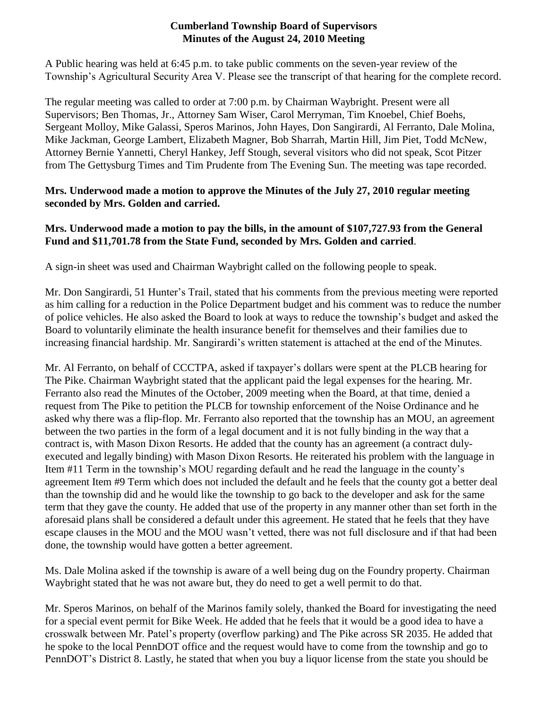### **Cumberland Township Board of Supervisors Minutes of the August 24, 2010 Meeting**

A Public hearing was held at 6:45 p.m. to take public comments on the seven-year review of the Township's Agricultural Security Area V. Please see the transcript of that hearing for the complete record.

The regular meeting was called to order at 7:00 p.m. by Chairman Waybright. Present were all Supervisors; Ben Thomas, Jr., Attorney Sam Wiser, Carol Merryman, Tim Knoebel, Chief Boehs, Sergeant Molloy, Mike Galassi, Speros Marinos, John Hayes, Don Sangirardi, Al Ferranto, Dale Molina, Mike Jackman, George Lambert, Elizabeth Magner, Bob Sharrah, Martin Hill, Jim Piet, Todd McNew, Attorney Bernie Yannetti, Cheryl Hankey, Jeff Stough, several visitors who did not speak, Scot Pitzer from The Gettysburg Times and Tim Prudente from The Evening Sun. The meeting was tape recorded.

# **Mrs. Underwood made a motion to approve the Minutes of the July 27, 2010 regular meeting seconded by Mrs. Golden and carried.**

# **Mrs. Underwood made a motion to pay the bills, in the amount of \$107,727.93 from the General Fund and \$11,701.78 from the State Fund, seconded by Mrs. Golden and carried**.

A sign-in sheet was used and Chairman Waybright called on the following people to speak.

Mr. Don Sangirardi, 51 Hunter's Trail, stated that his comments from the previous meeting were reported as him calling for a reduction in the Police Department budget and his comment was to reduce the number of police vehicles. He also asked the Board to look at ways to reduce the township's budget and asked the Board to voluntarily eliminate the health insurance benefit for themselves and their families due to increasing financial hardship. Mr. Sangirardi's written statement is attached at the end of the Minutes.

Mr. Al Ferranto, on behalf of CCCTPA, asked if taxpayer's dollars were spent at the PLCB hearing for The Pike. Chairman Waybright stated that the applicant paid the legal expenses for the hearing. Mr. Ferranto also read the Minutes of the October, 2009 meeting when the Board, at that time, denied a request from The Pike to petition the PLCB for township enforcement of the Noise Ordinance and he asked why there was a flip-flop. Mr. Ferranto also reported that the township has an MOU, an agreement between the two parties in the form of a legal document and it is not fully binding in the way that a contract is, with Mason Dixon Resorts. He added that the county has an agreement (a contract dulyexecuted and legally binding) with Mason Dixon Resorts. He reiterated his problem with the language in Item #11 Term in the township's MOU regarding default and he read the language in the county's agreement Item #9 Term which does not included the default and he feels that the county got a better deal than the township did and he would like the township to go back to the developer and ask for the same term that they gave the county. He added that use of the property in any manner other than set forth in the aforesaid plans shall be considered a default under this agreement. He stated that he feels that they have escape clauses in the MOU and the MOU wasn't vetted, there was not full disclosure and if that had been done, the township would have gotten a better agreement.

Ms. Dale Molina asked if the township is aware of a well being dug on the Foundry property. Chairman Waybright stated that he was not aware but, they do need to get a well permit to do that.

Mr. Speros Marinos, on behalf of the Marinos family solely, thanked the Board for investigating the need for a special event permit for Bike Week. He added that he feels that it would be a good idea to have a crosswalk between Mr. Patel's property (overflow parking) and The Pike across SR 2035. He added that he spoke to the local PennDOT office and the request would have to come from the township and go to PennDOT's District 8. Lastly, he stated that when you buy a liquor license from the state you should be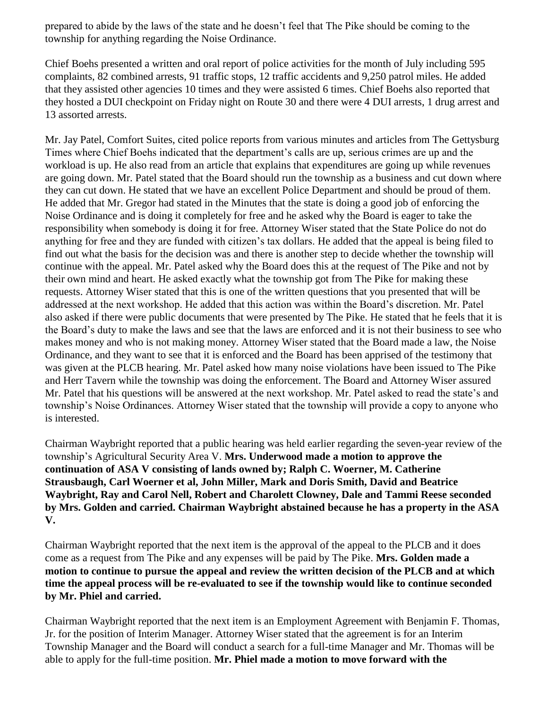prepared to abide by the laws of the state and he doesn't feel that The Pike should be coming to the township for anything regarding the Noise Ordinance.

Chief Boehs presented a written and oral report of police activities for the month of July including 595 complaints, 82 combined arrests, 91 traffic stops, 12 traffic accidents and 9,250 patrol miles. He added that they assisted other agencies 10 times and they were assisted 6 times. Chief Boehs also reported that they hosted a DUI checkpoint on Friday night on Route 30 and there were 4 DUI arrests, 1 drug arrest and 13 assorted arrests.

Mr. Jay Patel, Comfort Suites, cited police reports from various minutes and articles from The Gettysburg Times where Chief Boehs indicated that the department's calls are up, serious crimes are up and the workload is up. He also read from an article that explains that expenditures are going up while revenues are going down. Mr. Patel stated that the Board should run the township as a business and cut down where they can cut down. He stated that we have an excellent Police Department and should be proud of them. He added that Mr. Gregor had stated in the Minutes that the state is doing a good job of enforcing the Noise Ordinance and is doing it completely for free and he asked why the Board is eager to take the responsibility when somebody is doing it for free. Attorney Wiser stated that the State Police do not do anything for free and they are funded with citizen's tax dollars. He added that the appeal is being filed to find out what the basis for the decision was and there is another step to decide whether the township will continue with the appeal. Mr. Patel asked why the Board does this at the request of The Pike and not by their own mind and heart. He asked exactly what the township got from The Pike for making these requests. Attorney Wiser stated that this is one of the written questions that you presented that will be addressed at the next workshop. He added that this action was within the Board's discretion. Mr. Patel also asked if there were public documents that were presented by The Pike. He stated that he feels that it is the Board's duty to make the laws and see that the laws are enforced and it is not their business to see who makes money and who is not making money. Attorney Wiser stated that the Board made a law, the Noise Ordinance, and they want to see that it is enforced and the Board has been apprised of the testimony that was given at the PLCB hearing. Mr. Patel asked how many noise violations have been issued to The Pike and Herr Tavern while the township was doing the enforcement. The Board and Attorney Wiser assured Mr. Patel that his questions will be answered at the next workshop. Mr. Patel asked to read the state's and township's Noise Ordinances. Attorney Wiser stated that the township will provide a copy to anyone who is interested.

Chairman Waybright reported that a public hearing was held earlier regarding the seven-year review of the township's Agricultural Security Area V. **Mrs. Underwood made a motion to approve the continuation of ASA V consisting of lands owned by; Ralph C. Woerner, M. Catherine Strausbaugh, Carl Woerner et al, John Miller, Mark and Doris Smith, David and Beatrice Waybright, Ray and Carol Nell, Robert and Charolett Clowney, Dale and Tammi Reese seconded by Mrs. Golden and carried. Chairman Waybright abstained because he has a property in the ASA V.**

Chairman Waybright reported that the next item is the approval of the appeal to the PLCB and it does come as a request from The Pike and any expenses will be paid by The Pike. **Mrs. Golden made a motion to continue to pursue the appeal and review the written decision of the PLCB and at which time the appeal process will be re-evaluated to see if the township would like to continue seconded by Mr. Phiel and carried.**

Chairman Waybright reported that the next item is an Employment Agreement with Benjamin F. Thomas, Jr. for the position of Interim Manager. Attorney Wiser stated that the agreement is for an Interim Township Manager and the Board will conduct a search for a full-time Manager and Mr. Thomas will be able to apply for the full-time position. **Mr. Phiel made a motion to move forward with the**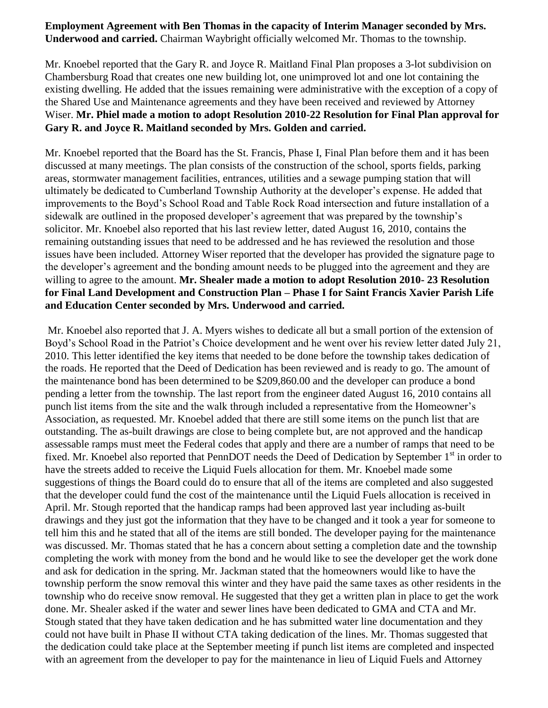### **Employment Agreement with Ben Thomas in the capacity of Interim Manager seconded by Mrs. Underwood and carried.** Chairman Waybright officially welcomed Mr. Thomas to the township.

Mr. Knoebel reported that the Gary R. and Joyce R. Maitland Final Plan proposes a 3-lot subdivision on Chambersburg Road that creates one new building lot, one unimproved lot and one lot containing the existing dwelling. He added that the issues remaining were administrative with the exception of a copy of the Shared Use and Maintenance agreements and they have been received and reviewed by Attorney Wiser. **Mr. Phiel made a motion to adopt Resolution 2010-22 Resolution for Final Plan approval for Gary R. and Joyce R. Maitland seconded by Mrs. Golden and carried.**

Mr. Knoebel reported that the Board has the St. Francis, Phase I, Final Plan before them and it has been discussed at many meetings. The plan consists of the construction of the school, sports fields, parking areas, stormwater management facilities, entrances, utilities and a sewage pumping station that will ultimately be dedicated to Cumberland Township Authority at the developer's expense. He added that improvements to the Boyd's School Road and Table Rock Road intersection and future installation of a sidewalk are outlined in the proposed developer's agreement that was prepared by the township's solicitor. Mr. Knoebel also reported that his last review letter, dated August 16, 2010, contains the remaining outstanding issues that need to be addressed and he has reviewed the resolution and those issues have been included. Attorney Wiser reported that the developer has provided the signature page to the developer's agreement and the bonding amount needs to be plugged into the agreement and they are willing to agree to the amount. **Mr. Shealer made a motion to adopt Resolution 2010- 23 Resolution for Final Land Development and Construction Plan – Phase I for Saint Francis Xavier Parish Life and Education Center seconded by Mrs. Underwood and carried.**

Mr. Knoebel also reported that J. A. Myers wishes to dedicate all but a small portion of the extension of Boyd's School Road in the Patriot's Choice development and he went over his review letter dated July 21, 2010. This letter identified the key items that needed to be done before the township takes dedication of the roads. He reported that the Deed of Dedication has been reviewed and is ready to go. The amount of the maintenance bond has been determined to be \$209,860.00 and the developer can produce a bond pending a letter from the township. The last report from the engineer dated August 16, 2010 contains all punch list items from the site and the walk through included a representative from the Homeowner's Association, as requested. Mr. Knoebel added that there are still some items on the punch list that are outstanding. The as-built drawings are close to being complete but, are not approved and the handicap assessable ramps must meet the Federal codes that apply and there are a number of ramps that need to be fixed. Mr. Knoebel also reported that PennDOT needs the Deed of Dedication by September 1<sup>st</sup> in order to have the streets added to receive the Liquid Fuels allocation for them. Mr. Knoebel made some suggestions of things the Board could do to ensure that all of the items are completed and also suggested that the developer could fund the cost of the maintenance until the Liquid Fuels allocation is received in April. Mr. Stough reported that the handicap ramps had been approved last year including as-built drawings and they just got the information that they have to be changed and it took a year for someone to tell him this and he stated that all of the items are still bonded. The developer paying for the maintenance was discussed. Mr. Thomas stated that he has a concern about setting a completion date and the township completing the work with money from the bond and he would like to see the developer get the work done and ask for dedication in the spring. Mr. Jackman stated that the homeowners would like to have the township perform the snow removal this winter and they have paid the same taxes as other residents in the township who do receive snow removal. He suggested that they get a written plan in place to get the work done. Mr. Shealer asked if the water and sewer lines have been dedicated to GMA and CTA and Mr. Stough stated that they have taken dedication and he has submitted water line documentation and they could not have built in Phase II without CTA taking dedication of the lines. Mr. Thomas suggested that the dedication could take place at the September meeting if punch list items are completed and inspected with an agreement from the developer to pay for the maintenance in lieu of Liquid Fuels and Attorney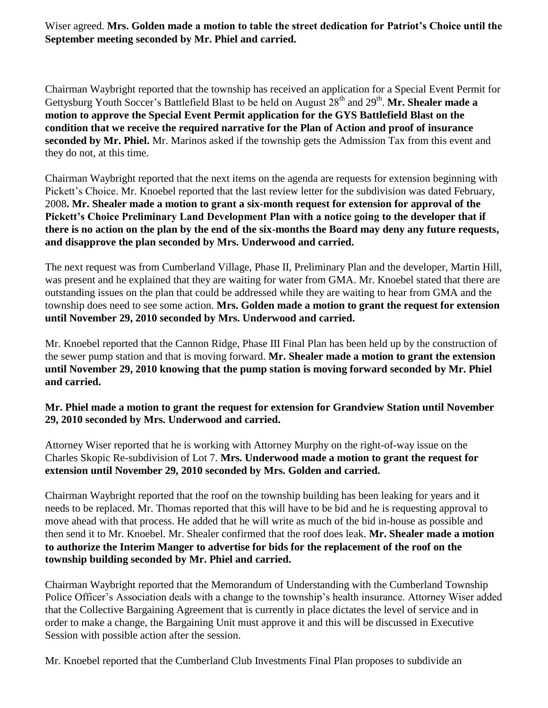Wiser agreed. **Mrs. Golden made a motion to table the street dedication for Patriot's Choice until the September meeting seconded by Mr. Phiel and carried.**

Chairman Waybright reported that the township has received an application for a Special Event Permit for Gettysburg Youth Soccer's Battlefield Blast to be held on August 28<sup>th</sup> and 29<sup>th</sup>. Mr. Shealer made a **motion to approve the Special Event Permit application for the GYS Battlefield Blast on the condition that we receive the required narrative for the Plan of Action and proof of insurance seconded by Mr. Phiel.** Mr. Marinos asked if the township gets the Admission Tax from this event and they do not, at this time.

Chairman Waybright reported that the next items on the agenda are requests for extension beginning with Pickett's Choice. Mr. Knoebel reported that the last review letter for the subdivision was dated February, 2008**. Mr. Shealer made a motion to grant a six-month request for extension for approval of the Pickett's Choice Preliminary Land Development Plan with a notice going to the developer that if there is no action on the plan by the end of the six-months the Board may deny any future requests, and disapprove the plan seconded by Mrs. Underwood and carried.**

The next request was from Cumberland Village, Phase II, Preliminary Plan and the developer, Martin Hill, was present and he explained that they are waiting for water from GMA. Mr. Knoebel stated that there are outstanding issues on the plan that could be addressed while they are waiting to hear from GMA and the township does need to see some action. **Mrs. Golden made a motion to grant the request for extension until November 29, 2010 seconded by Mrs. Underwood and carried.**

Mr. Knoebel reported that the Cannon Ridge, Phase III Final Plan has been held up by the construction of the sewer pump station and that is moving forward. **Mr. Shealer made a motion to grant the extension until November 29, 2010 knowing that the pump station is moving forward seconded by Mr. Phiel and carried.**

**Mr. Phiel made a motion to grant the request for extension for Grandview Station until November 29, 2010 seconded by Mrs. Underwood and carried.**

Attorney Wiser reported that he is working with Attorney Murphy on the right-of-way issue on the Charles Skopic Re-subdivision of Lot 7. **Mrs. Underwood made a motion to grant the request for extension until November 29, 2010 seconded by Mrs. Golden and carried.**

Chairman Waybright reported that the roof on the township building has been leaking for years and it needs to be replaced. Mr. Thomas reported that this will have to be bid and he is requesting approval to move ahead with that process. He added that he will write as much of the bid in-house as possible and then send it to Mr. Knoebel. Mr. Shealer confirmed that the roof does leak. **Mr. Shealer made a motion to authorize the Interim Manger to advertise for bids for the replacement of the roof on the township building seconded by Mr. Phiel and carried.**

Chairman Waybright reported that the Memorandum of Understanding with the Cumberland Township Police Officer's Association deals with a change to the township's health insurance. Attorney Wiser added that the Collective Bargaining Agreement that is currently in place dictates the level of service and in order to make a change, the Bargaining Unit must approve it and this will be discussed in Executive Session with possible action after the session.

Mr. Knoebel reported that the Cumberland Club Investments Final Plan proposes to subdivide an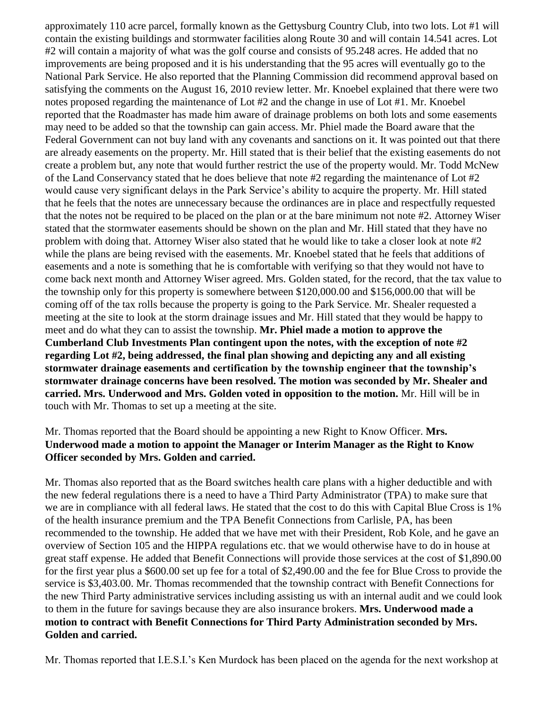approximately 110 acre parcel, formally known as the Gettysburg Country Club, into two lots. Lot #1 will contain the existing buildings and stormwater facilities along Route 30 and will contain 14.541 acres. Lot #2 will contain a majority of what was the golf course and consists of 95.248 acres. He added that no improvements are being proposed and it is his understanding that the 95 acres will eventually go to the National Park Service. He also reported that the Planning Commission did recommend approval based on satisfying the comments on the August 16, 2010 review letter. Mr. Knoebel explained that there were two notes proposed regarding the maintenance of Lot #2 and the change in use of Lot #1. Mr. Knoebel reported that the Roadmaster has made him aware of drainage problems on both lots and some easements may need to be added so that the township can gain access. Mr. Phiel made the Board aware that the Federal Government can not buy land with any covenants and sanctions on it. It was pointed out that there are already easements on the property. Mr. Hill stated that is their belief that the existing easements do not create a problem but, any note that would further restrict the use of the property would. Mr. Todd McNew of the Land Conservancy stated that he does believe that note #2 regarding the maintenance of Lot #2 would cause very significant delays in the Park Service's ability to acquire the property. Mr. Hill stated that he feels that the notes are unnecessary because the ordinances are in place and respectfully requested that the notes not be required to be placed on the plan or at the bare minimum not note #2. Attorney Wiser stated that the stormwater easements should be shown on the plan and Mr. Hill stated that they have no problem with doing that. Attorney Wiser also stated that he would like to take a closer look at note #2 while the plans are being revised with the easements. Mr. Knoebel stated that he feels that additions of easements and a note is something that he is comfortable with verifying so that they would not have to come back next month and Attorney Wiser agreed. Mrs. Golden stated, for the record, that the tax value to the township only for this property is somewhere between \$120,000.00 and \$156,000.00 that will be coming off of the tax rolls because the property is going to the Park Service. Mr. Shealer requested a meeting at the site to look at the storm drainage issues and Mr. Hill stated that they would be happy to meet and do what they can to assist the township. **Mr. Phiel made a motion to approve the Cumberland Club Investments Plan contingent upon the notes, with the exception of note #2 regarding Lot #2, being addressed, the final plan showing and depicting any and all existing stormwater drainage easements and certification by the township engineer that the township's stormwater drainage concerns have been resolved. The motion was seconded by Mr. Shealer and carried. Mrs. Underwood and Mrs. Golden voted in opposition to the motion.** Mr. Hill will be in touch with Mr. Thomas to set up a meeting at the site.

#### Mr. Thomas reported that the Board should be appointing a new Right to Know Officer. **Mrs. Underwood made a motion to appoint the Manager or Interim Manager as the Right to Know Officer seconded by Mrs. Golden and carried.**

Mr. Thomas also reported that as the Board switches health care plans with a higher deductible and with the new federal regulations there is a need to have a Third Party Administrator (TPA) to make sure that we are in compliance with all federal laws. He stated that the cost to do this with Capital Blue Cross is 1% of the health insurance premium and the TPA Benefit Connections from Carlisle, PA, has been recommended to the township. He added that we have met with their President, Rob Kole, and he gave an overview of Section 105 and the HIPPA regulations etc. that we would otherwise have to do in house at great staff expense. He added that Benefit Connections will provide those services at the cost of \$1,890.00 for the first year plus a \$600.00 set up fee for a total of \$2,490.00 and the fee for Blue Cross to provide the service is \$3,403.00. Mr. Thomas recommended that the township contract with Benefit Connections for the new Third Party administrative services including assisting us with an internal audit and we could look to them in the future for savings because they are also insurance brokers. **Mrs. Underwood made a motion to contract with Benefit Connections for Third Party Administration seconded by Mrs. Golden and carried.**

Mr. Thomas reported that I.E.S.I.'s Ken Murdock has been placed on the agenda for the next workshop at